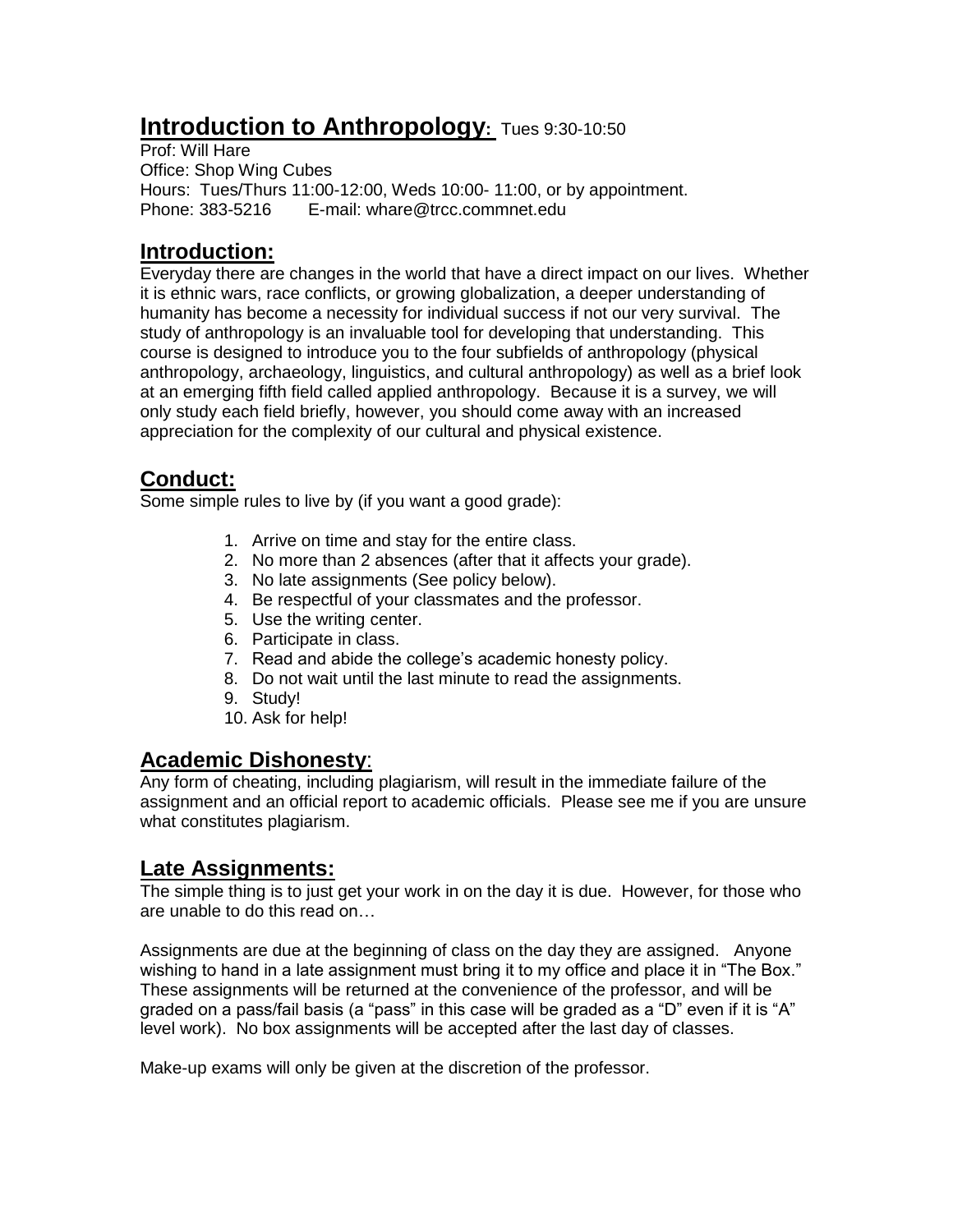# **Introduction to Anthropology:** Tues 9:30-10:50

Prof: Will Hare Office: Shop Wing Cubes Hours: Tues/Thurs 11:00-12:00, Weds 10:00- 11:00, or by appointment. Phone: 383-5216 E-mail: whare@trcc.commnet.edu

### **Introduction:**

Everyday there are changes in the world that have a direct impact on our lives. Whether it is ethnic wars, race conflicts, or growing globalization, a deeper understanding of humanity has become a necessity for individual success if not our very survival. The study of anthropology is an invaluable tool for developing that understanding. This course is designed to introduce you to the four subfields of anthropology (physical anthropology, archaeology, linguistics, and cultural anthropology) as well as a brief look at an emerging fifth field called applied anthropology. Because it is a survey, we will only study each field briefly, however, you should come away with an increased appreciation for the complexity of our cultural and physical existence.

## **Conduct:**

Some simple rules to live by (if you want a good grade):

- 1. Arrive on time and stay for the entire class.
- 2. No more than 2 absences (after that it affects your grade).
- 3. No late assignments (See policy below).
- 4. Be respectful of your classmates and the professor.
- 5. Use the writing center.
- 6. Participate in class.
- 7. Read and abide the college's academic honesty policy.
- 8. Do not wait until the last minute to read the assignments.
- 9. Study!
- 10. Ask for help!

#### **Academic Dishonesty**:

Any form of cheating, including plagiarism, will result in the immediate failure of the assignment and an official report to academic officials. Please see me if you are unsure what constitutes plagiarism.

#### **Late Assignments:**

The simple thing is to just get your work in on the day it is due. However, for those who are unable to do this read on…

Assignments are due at the beginning of class on the day they are assigned. Anyone wishing to hand in a late assignment must bring it to my office and place it in "The Box." These assignments will be returned at the convenience of the professor, and will be graded on a pass/fail basis (a "pass" in this case will be graded as a "D" even if it is "A" level work). No box assignments will be accepted after the last day of classes.

Make-up exams will only be given at the discretion of the professor.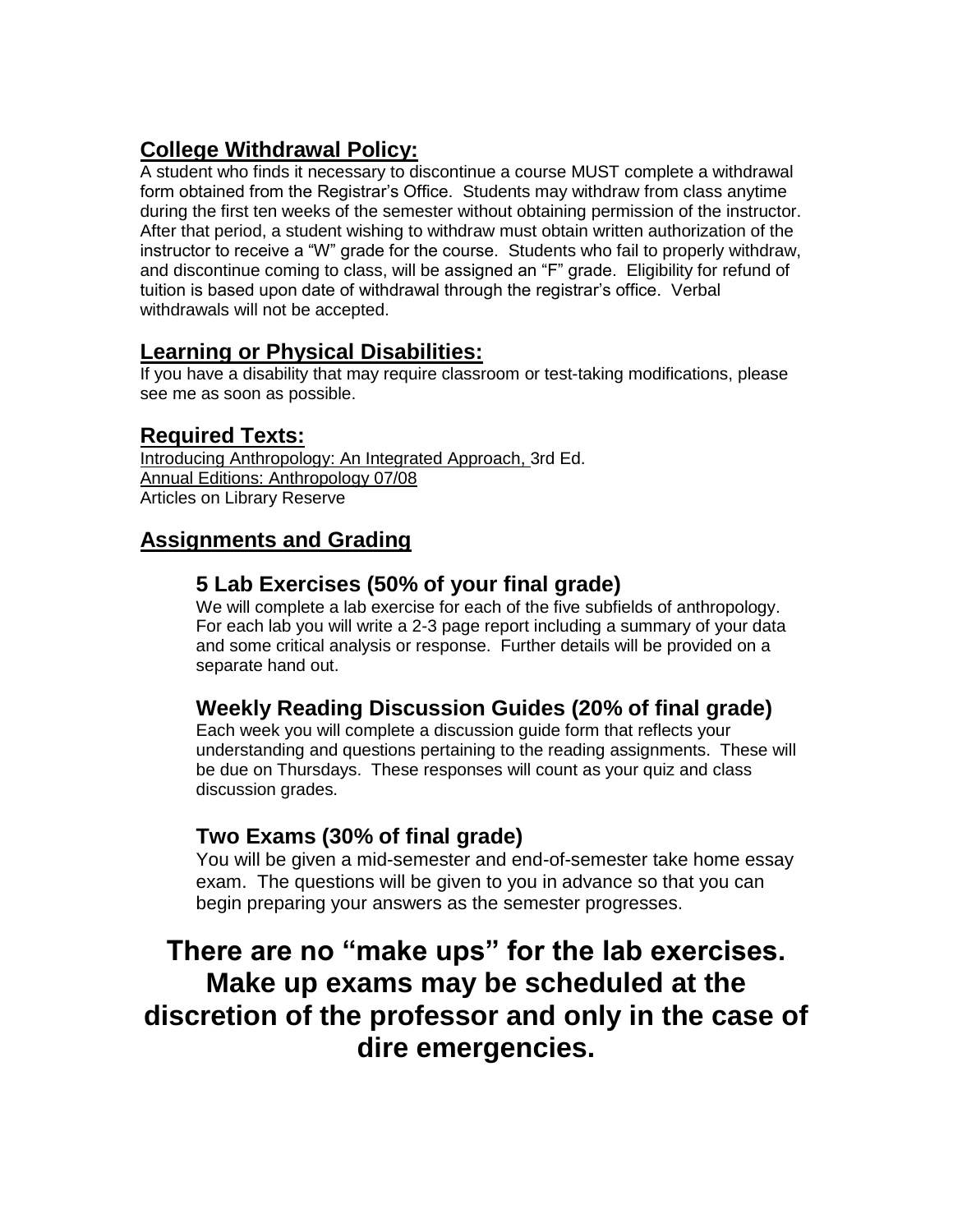# **College Withdrawal Policy:**

A student who finds it necessary to discontinue a course MUST complete a withdrawal form obtained from the Registrar's Office. Students may withdraw from class anytime during the first ten weeks of the semester without obtaining permission of the instructor. After that period, a student wishing to withdraw must obtain written authorization of the instructor to receive a "W" grade for the course. Students who fail to properly withdraw, and discontinue coming to class, will be assigned an "F" grade. Eligibility for refund of tuition is based upon date of withdrawal through the registrar's office. Verbal withdrawals will not be accepted.

# **Learning or Physical Disabilities:**

If you have a disability that may require classroom or test-taking modifications, please see me as soon as possible.

#### **Required Texts:**

Introducing Anthropology: An Integrated Approach, 3rd Ed. Annual Editions: Anthropology 07/08 Articles on Library Reserve

# **Assignments and Grading**

#### **5 Lab Exercises (50% of your final grade)**

We will complete a lab exercise for each of the five subfields of anthropology. For each lab you will write a 2-3 page report including a summary of your data and some critical analysis or response. Further details will be provided on a separate hand out.

## **Weekly Reading Discussion Guides (20% of final grade)**

Each week you will complete a discussion guide form that reflects your understanding and questions pertaining to the reading assignments. These will be due on Thursdays. These responses will count as your quiz and class discussion grades.

#### **Two Exams (30% of final grade)**

You will be given a mid-semester and end-of-semester take home essay exam. The questions will be given to you in advance so that you can begin preparing your answers as the semester progresses.

# **There are no "make ups" for the lab exercises. Make up exams may be scheduled at the discretion of the professor and only in the case of dire emergencies.**